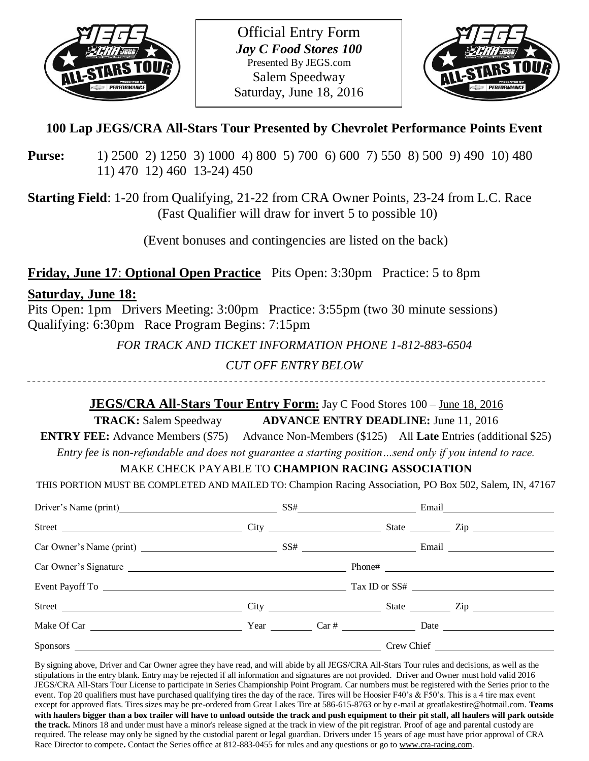

Official Entry Form *Jay C Food Stores 100* Presented By JEGS.com Salem Speedway Saturday, June 18, 2016



# **100 Lap JEGS/CRA All-Stars Tour Presented by Chevrolet Performance Points Event**

**Purse:** 1) 2500 2) 1250 3) 1000 4) 800 5) 700 6) 600 7) 550 8) 500 9) 490 10) 480 11) 470 12) 460 13-24) 450

**Starting Field**: 1-20 from Qualifying, 21-22 from CRA Owner Points, 23-24 from L.C. Race (Fast Qualifier will draw for invert 5 to possible 10)

(Event bonuses and contingencies are listed on the back)

**Friday, June 17**: **Optional Open Practice** Pits Open: 3:30pm Practice: 5 to 8pm

### **Saturday, June 18:**

Pits Open: 1pm Drivers Meeting: 3:00pm Practice: 3:55pm (two 30 minute sessions) Qualifying: 6:30pm Race Program Begins: 7:15pm

*FOR TRACK AND TICKET INFORMATION PHONE 1-812-883-6504*

## *CUT OFF ENTRY BELOW*

---------------------------

## **JEGS/CRA All-Stars Tour Entry Form:** Jay C Food Stores 100 – June 18, 2016

**TRACK:** Salem Speedway **ADVANCE ENTRY DEADLINE:** June 11, 2016

**ENTRY FEE:** Advance Members (\$75) Advance Non-Members (\$125) All **Late** Entries (additional \$25) *Entry fee is non-refundable and does not guarantee a starting position…send only if you intend to race.*

## MAKE CHECK PAYABLE TO **CHAMPION RACING ASSOCIATION**

THIS PORTION MUST BE COMPLETED AND MAILED TO: Champion Racing Association, PO Box 502, Salem, IN, 47167

| Driver's Name (print) SS# Email Email                  |  |  |  |
|--------------------------------------------------------|--|--|--|
|                                                        |  |  |  |
|                                                        |  |  |  |
|                                                        |  |  |  |
|                                                        |  |  |  |
| Street City City City State City State City State City |  |  |  |
|                                                        |  |  |  |
|                                                        |  |  |  |

By signing above, Driver and Car Owner agree they have read, and will abide by all JEGS/CRA All-Stars Tour rules and decisions, as well as the stipulations in the entry blank. Entry may be rejected if all information and signatures are not provided. Driver and Owner must hold valid 2016 JEGS/CRA All-Stars Tour License to participate in Series Championship Point Program. Car numbers must be registered with the Series prior to the event. Top 20 qualifiers must have purchased qualifying tires the day of the race. Tires will be Hoosier F40's & F50's. This is a 4 tire max event except for approved flats. Tires sizes may be pre-ordered from Great Lakes Tire at 586-615-8763 or by e-mail a[t greatlakestire@hotmail.com.](mailto:greatlakestire@hotmail.com) **Teams with haulers bigger than a box trailer will have to unload outside the track and push equipment to their pit stall, all haulers will park outside the track.** Minors 18 and under must have a minor's release signed at the track in view of the pit registrar. Proof of age and parental custody are required. The release may only be signed by the custodial parent or legal guardian. Drivers under 15 years of age must have prior approval of CRA Race Director to compete**.** Contact the Series office at 812-883-0455 for rules and any questions or go to [www.cra-racing.com.](http://www.cra-racing.com/)